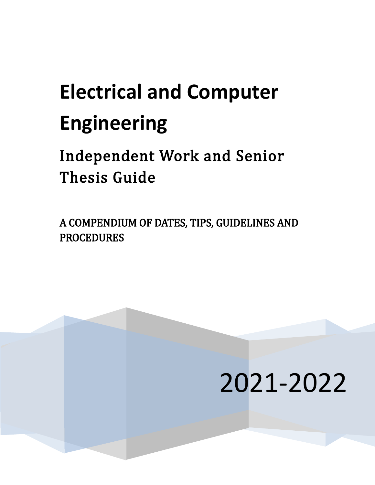# j. **Electrical and Computer Engineering**

Independent Work and Senior Thesis Guide

A COMPENDIUM OF DATES, TIPS, GUIDELINES AND PROCEDURES

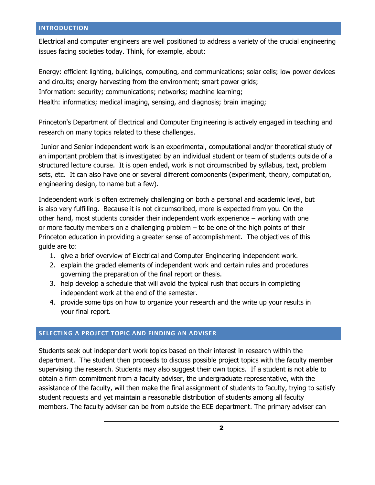#### **INTRODUCTION**

Electrical and computer engineers are well positioned to address a variety of the crucial engineering issues facing societies today. Think, for example, about:

Energy: efficient lighting, buildings, computing, and communications; solar cells; low power devices and circuits; energy harvesting from the environment; smart power grids; Information: security; communications; networks; machine learning; Health: informatics; medical imaging, sensing, and diagnosis; brain imaging;

Princeton's Department of Electrical and Computer Engineering is actively engaged in teaching and research on many topics related to these challenges.

Junior and Senior independent work is an experimental, computational and/or theoretical study of an important problem that is investigated by an individual student or team of students outside of a structured lecture course. It is open ended, work is not circumscribed by syllabus, text, problem sets, etc. It can also have one or several different components (experiment, theory, computation, engineering design, to name but a few).

Independent work is often extremely challenging on both a personal and academic level, but is also very fulfilling. Because it is not circumscribed, more is expected from you. On the other hand, most students consider their independent work experience – working with one or more faculty members on a challenging problem – to be one of the high points of their Princeton education in providing a greater sense of accomplishment. The objectives of this guide are to:

- 1. give a brief overview of Electrical and Computer Engineering independent work.
- 2. explain the graded elements of independent work and certain rules and procedures governing the preparation of the final report or thesis.
- 3. help develop a schedule that will avoid the typical rush that occurs in completing independent work at the end of the semester.
- 4. provide some tips on how to organize your research and the write up your results in your final report.

## **SELECTING A PROJECT TOPIC AND FINDING AN ADVISER**

Students seek out independent work topics based on their interest in research within the department. The student then proceeds to discuss possible project topics with the faculty member supervising the research. Students may also suggest their own topics. If a student is not able to obtain a firm commitment from a faculty adviser, the undergraduate representative, with the assistance of the faculty, will then make the final assignment of students to faculty, trying to satisfy student requests and yet maintain a reasonable distribution of students among all faculty members. The faculty adviser can be from outside the ECE department. The primary adviser can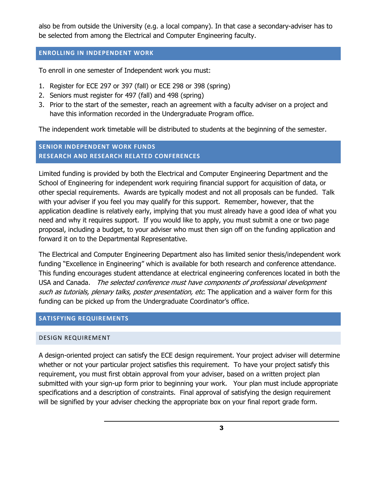also be from outside the University (e.g. a local company). In that case a secondary-adviser has to be selected from among the Electrical and Computer Engineering faculty.

#### **ENROLLING IN INDEPENDENT WORK**

To enroll in one semester of Independent work you must:

- 1. Register for ECE 297 or 397 (fall) or ECE 298 or 398 (spring)
- 2. Seniors must register for 497 (fall) and 498 (spring)
- 3. Prior to the start of the semester, reach an agreement with a faculty adviser on a project and have this information recorded in the Undergraduate Program office.

The independent work timetable will be distributed to students at the beginning of the semester.

# **SENIOR INDEPENDENT WORK FUNDS RESEARCH AND RESEARCH RELATED CONFERENCES**

Limited funding is provided by both the Electrical and Computer Engineering Department and the School of Engineering for independent work requiring financial support for acquisition of data, or other special requirements. Awards are typically modest and not all proposals can be funded. Talk with your adviser if you feel you may qualify for this support. Remember, however, that the application deadline is relatively early, implying that you must already have a good idea of what you need and why it requires support. If you would like to apply, you must submit a one or two page proposal, including a budget, to your adviser who must then sign off on the funding application and forward it on to the Departmental Representative.

The Electrical and Computer Engineering Department also has limited senior thesis/independent work funding "Excellence in Engineering" which is available for both research and conference attendance. This funding encourages student attendance at electrical engineering conferences located in both the USA and Canada. The selected conference must have components of professional development such as tutorials, plenary talks, poster presentation, etc. The application and a waiver form for this funding can be picked up from the Undergraduate Coordinator's office.

## **SATISFYING REQUIREMENTS**

## DESIGN REQUIREMENT

A design-oriented project can satisfy the ECE design requirement. Your project adviser will determine whether or not your particular project satisfies this requirement. To have your project satisfy this requirement, you must first obtain approval from your adviser, based on a written project plan submitted with your sign-up form prior to beginning your work. Your plan must include appropriate specifications and a description of constraints. Final approval of satisfying the design requirement will be signified by your adviser checking the appropriate box on your final report grade form.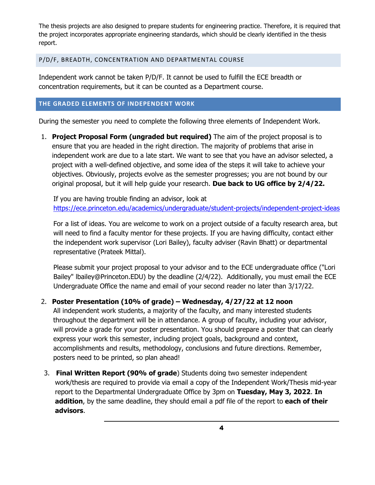The thesis projects are also designed to prepare students for engineering practice. Therefore, it is required that the project incorporates appropriate engineering standards, which should be clearly identified in the thesis report.

## P/D/F, BREADTH, CONCENTRATION AND DEPARTMENTAL COURSE

Independent work cannot be taken P/D/F. It cannot be used to fulfill the ECE breadth or concentration requirements, but it can be counted as a Department course.

## **THE GRADED ELEMENTS OF INDEPENDENT WORK**

During the semester you need to complete the following three elements of Independent Work.

1. **Project Proposal Form (ungraded but required)** The aim of the project proposal is to ensure that you are headed in the right direction. The majority of problems that arise in independent work are due to a late start. We want to see that you have an advisor selected, a project with a well-defined objective, and some idea of the steps it will take to achieve your objectives. Obviously, projects evolve as the semester progresses; you are not bound by our original proposal, but it will help guide your research. **Due back to UG office by 2/4/22.**

If you are having trouble finding an advisor, look at <https://ece.princeton.edu/academics/undergraduate/student-projects/independent-project-ideas>

For a list of ideas. You are welcome to work on a project outside of a faculty research area, but will need to find a faculty mentor for these projects. If you are having difficulty, contact either the independent work supervisor (Lori Bailey), faculty adviser (Ravin Bhatt) or departmental representative (Prateek Mittal).

Please submit your project proposal to your advisor and to the ECE undergraduate office ("Lori Bailey" lbailey@Princeton.EDU) by the deadline (2/4/22). Additionally, you must email the ECE Undergraduate Office the name and email of your second reader no later than 3/17/22.

# 2. **Poster Presentation (10% of grade) – Wednesday, 4/27/22 at 12 noon**

All independent work students, a majority of the faculty, and many interested students throughout the department will be in attendance. A group of faculty, including your advisor, will provide a grade for your poster presentation. You should prepare a poster that can clearly express your work this semester, including project goals, background and context, accomplishments and results, methodology, conclusions and future directions. Remember, posters need to be printed, so plan ahead!

3. **Final Written Report (90% of grade**) Students doing two semester independent work/thesis are required to provide via email a copy of the Independent Work/Thesis mid-year report to the Departmental Undergraduate Office by 3pm on **Tuesday, May 3, 2022**. **In addition**, by the same deadline, they should email a pdf file of the report to **each of their advisors**.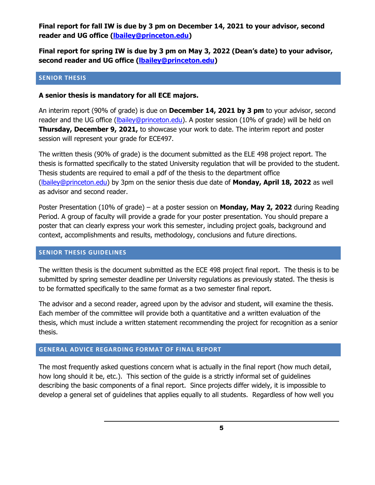**Final report for fall IW is due by 3 pm on December 14, 2021 to your advisor, second reader and UG office [\(lbailey@princeton.edu\)](mailto:lbailey@princeton.edu)**

**Final report for spring IW is due by 3 pm on May 3, 2022 (Dean's date) to your advisor, second reader and UG office [\(lbailey@princeton.edu\)](mailto:lbailey@princeton.edu)**

#### **SENIOR THESIS**

## **A senior thesis is mandatory for all ECE majors.**

An interim report (90% of grade) is due on **December 14, 2021 by 3 pm** to your advisor, second reader and the UG office [\(lbailey@princeton.edu\)](mailto:lbailey@princeton.edu). A poster session (10% of grade) will be held on **Thursday, December 9, 2021,** to showcase your work to date. The interim report and poster session will represent your grade for ECE497.

The written thesis (90% of grade) is the document submitted as the ELE 498 project report. The thesis is formatted specifically to the stated University regulation that will be provided to the student. Thesis students are required to email a pdf of the thesis to the department office [\(lbailey@princeton.edu\)](mailto:lbailey@princeton.edu) by 3pm on the senior thesis due date of **Monday, April 18, 2022** as well as advisor and second reader.

Poster Presentation (10% of grade) – at a poster session on **Monday, May 2, 2022** during Reading Period. A group of faculty will provide a grade for your poster presentation. You should prepare a poster that can clearly express your work this semester, including project goals, background and context, accomplishments and results, methodology, conclusions and future directions.

## **SENIOR THESIS GUIDELINES**

The written thesis is the document submitted as the ECE 498 project final report. The thesis is to be submitted by spring semester deadline per University regulations as previously stated. The thesis is to be formatted specifically to the same format as a two semester final report.

The advisor and a second reader, agreed upon by the advisor and student, will examine the thesis. Each member of the committee will provide both a quantitative and a written evaluation of the thesis, which must include a written statement recommending the project for recognition as a senior thesis.

## **GENERAL ADVICE REGARDING FORMAT OF FINAL REPORT**

The most frequently asked questions concern what is actually in the final report (how much detail, how long should it be, etc.). This section of the guide is a strictly informal set of guidelines describing the basic components of a final report. Since projects differ widely, it is impossible to develop a general set of guidelines that applies equally to all students. Regardless of how well you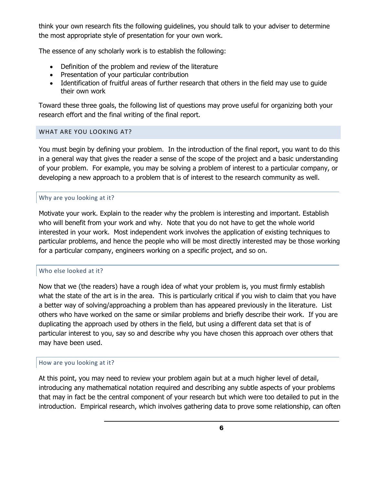think your own research fits the following guidelines, you should talk to your adviser to determine the most appropriate style of presentation for your own work.

The essence of any scholarly work is to establish the following:

- Definition of the problem and review of the literature
- Presentation of your particular contribution
- Identification of fruitful areas of further research that others in the field may use to guide their own work

Toward these three goals, the following list of questions may prove useful for organizing both your research effort and the final writing of the final report.

## WHAT ARE YOU LOOKING AT?

You must begin by defining your problem. In the introduction of the final report, you want to do this in a general way that gives the reader a sense of the scope of the project and a basic understanding of your problem. For example, you may be solving a problem of interest to a particular company, or developing a new approach to a problem that is of interest to the research community as well.

## Why are you looking at it?

Motivate your work. Explain to the reader why the problem is interesting and important. Establish who will benefit from your work and why. Note that you do not have to get the whole world interested in your work. Most independent work involves the application of existing techniques to particular problems, and hence the people who will be most directly interested may be those working for a particular company, engineers working on a specific project, and so on.

## Who else looked at it?

Now that we (the readers) have a rough idea of what your problem is, you must firmly establish what the state of the art is in the area. This is particularly critical if you wish to claim that you have a better way of solving/approaching a problem than has appeared previously in the literature. List others who have worked on the same or similar problems and briefly describe their work. If you are duplicating the approach used by others in the field, but using a different data set that is of particular interest to you, say so and describe why you have chosen this approach over others that may have been used.

## How are you looking at it?

At this point, you may need to review your problem again but at a much higher level of detail, introducing any mathematical notation required and describing any subtle aspects of your problems that may in fact be the central component of your research but which were too detailed to put in the introduction. Empirical research, which involves gathering data to prove some relationship, can often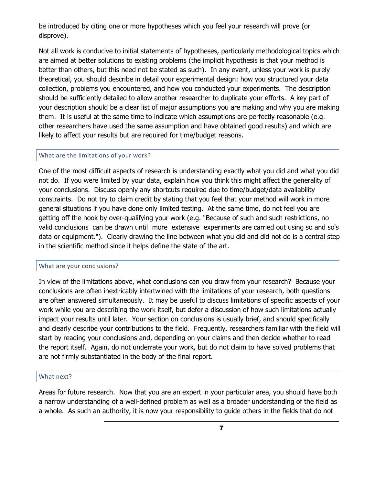be introduced by citing one or more hypotheses which you feel your research will prove (or disprove).

Not all work is conducive to initial statements of hypotheses, particularly methodological topics which are aimed at better solutions to existing problems (the implicit hypothesis is that your method is better than others, but this need not be stated as such). In any event, unless your work is purely theoretical, you should describe in detail your experimental design: how you structured your data collection, problems you encountered, and how you conducted your experiments. The description should be sufficiently detailed to allow another researcher to duplicate your efforts. A key part of your description should be a clear list of major assumptions you are making and why you are making them. It is useful at the same time to indicate which assumptions are perfectly reasonable (e.g. other researchers have used the same assumption and have obtained good results) and which are likely to affect your results but are required for time/budget reasons.

#### What are the limitations of your work?

One of the most difficult aspects of research is understanding exactly what you did and what you did not do. If you were limited by your data, explain how you think this might affect the generality of your conclusions. Discuss openly any shortcuts required due to time/budget/data availability constraints. Do not try to claim credit by stating that you feel that your method will work in more general situations if you have done only limited testing. At the same time, do not feel you are getting off the hook by over-qualifying your work (e.g. "Because of such and such restrictions, no valid conclusions can be drawn until more extensive experiments are carried out using so and so's data or equipment."). Clearly drawing the line between what you did and did not do is a central step in the scientific method since it helps define the state of the art.

#### What are your conclusions?

In view of the limitations above, what conclusions can you draw from your research? Because your conclusions are often inextricably intertwined with the limitations of your research, both questions are often answered simultaneously. It may be useful to discuss limitations of specific aspects of your work while you are describing the work itself, but defer a discussion of how such limitations actually impact your results until later. Your section on conclusions is usually brief, and should specifically and clearly describe your contributions to the field. Frequently, researchers familiar with the field will start by reading your conclusions and, depending on your claims and then decide whether to read the report itself. Again, do not underrate your work, but do not claim to have solved problems that are not firmly substantiated in the body of the final report.

#### What next?

Areas for future research. Now that you are an expert in your particular area, you should have both a narrow understanding of a well-defined problem as well as a broader understanding of the field as a whole. As such an authority, it is now your responsibility to guide others in the fields that do not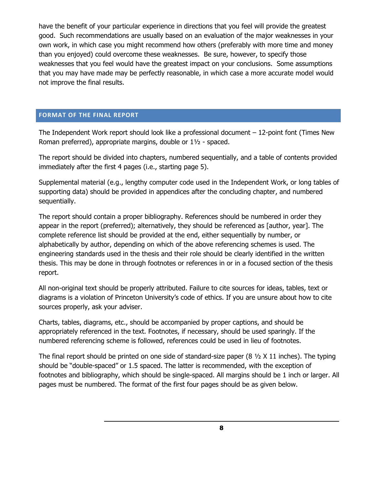have the benefit of your particular experience in directions that you feel will provide the greatest good. Such recommendations are usually based on an evaluation of the major weaknesses in your own work, in which case you might recommend how others (preferably with more time and money than you enjoyed) could overcome these weaknesses. Be sure, however, to specify those weaknesses that you feel would have the greatest impact on your conclusions. Some assumptions that you may have made may be perfectly reasonable, in which case a more accurate model would not improve the final results.

#### **FORMAT OF THE FINAL REPORT**

The Independent Work report should look like a professional document – 12-point font (Times New Roman preferred), appropriate margins, double or 1½ - spaced.

The report should be divided into chapters, numbered sequentially, and a table of contents provided immediately after the first 4 pages (i.e., starting page 5).

Supplemental material (e.g., lengthy computer code used in the Independent Work, or long tables of supporting data) should be provided in appendices after the concluding chapter, and numbered sequentially.

The report should contain a proper bibliography. References should be numbered in order they appear in the report (preferred); alternatively, they should be referenced as [author, year]. The complete reference list should be provided at the end, either sequentially by number, or alphabetically by author, depending on which of the above referencing schemes is used. The engineering standards used in the thesis and their role should be clearly identified in the written thesis. This may be done in through footnotes or references in or in a focused section of the thesis report.

All non-original text should be properly attributed. Failure to cite sources for ideas, tables, text or diagrams is a violation of Princeton University's code of ethics. If you are unsure about how to cite sources properly, ask your adviser.

Charts, tables, diagrams, etc., should be accompanied by proper captions, and should be appropriately referenced in the text. Footnotes, if necessary, should be used sparingly. If the numbered referencing scheme is followed, references could be used in lieu of footnotes.

The final report should be printed on one side of standard-size paper  $(8 \frac{1}{2} \times 11)$  inches). The typing should be "double-spaced" or 1.5 spaced. The latter is recommended, with the exception of footnotes and bibliography, which should be single-spaced. All margins should be 1 inch or larger. All pages must be numbered. The format of the first four pages should be as given below.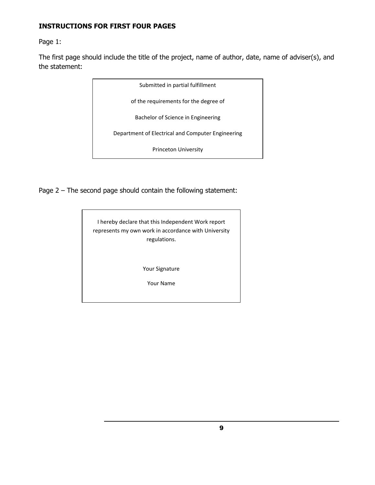# **INSTRUCTIONS FOR FIRST FOUR PAGES**

Page 1:

The first page should include the title of the project, name of author, date, name of adviser(s), and the statement:

Page 2 – The second page should contain the following statement:

| I hereby declare that this Independent Work report<br>represents my own work in accordance with University<br>regulations. |
|----------------------------------------------------------------------------------------------------------------------------|
| <b>Your Signature</b><br>Your Name                                                                                         |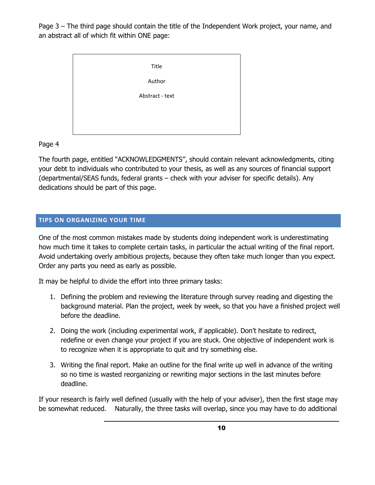Page 3 – The third page should contain the title of the Independent Work project, your name, and an abstract all of which fit within ONE page:



## Page 4

The fourth page, entitled "ACKNOWLEDGMENTS", should contain relevant acknowledgments, citing your debt to individuals who contributed to your thesis, as well as any sources of financial support (departmental/SEAS funds, federal grants – check with your adviser for specific details). Any dedications should be part of this page.

## **TIPS ON ORGANIZING YOUR TIME**

One of the most common mistakes made by students doing independent work is underestimating how much time it takes to complete certain tasks, in particular the actual writing of the final report. Avoid undertaking overly ambitious projects, because they often take much longer than you expect. Order any parts you need as early as possible.

It may be helpful to divide the effort into three primary tasks:

- 1. Defining the problem and reviewing the literature through survey reading and digesting the background material. Plan the project, week by week, so that you have a finished project well before the deadline.
- 2. Doing the work (including experimental work, if applicable). Don't hesitate to redirect, redefine or even change your project if you are stuck. One objective of independent work is to recognize when it is appropriate to quit and try something else.
- 3. Writing the final report. Make an outline for the final write up well in advance of the writing so no time is wasted reorganizing or rewriting major sections in the last minutes before deadline.

If your research is fairly well defined (usually with the help of your adviser), then the first stage may be somewhat reduced. Naturally, the three tasks will overlap, since you may have to do additional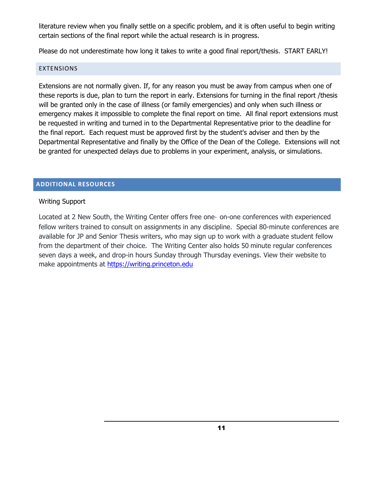literature review when you finally settle on a specific problem, and it is often useful to begin writing certain sections of the final report while the actual research is in progress.

Please do not underestimate how long it takes to write a good final report/thesis. START EARLY!

#### EXTENSIONS

Extensions are not normally given. If, for any reason you must be away from campus when one of these reports is due, plan to turn the report in early. Extensions for turning in the final report /thesis will be granted only in the case of illness (or family emergencies) and only when such illness or emergency makes it impossible to complete the final report on time. All final report extensions must be requested in writing and turned in to the Departmental Representative prior to the deadline for the final report. Each request must be approved first by the student's adviser and then by the Departmental Representative and finally by the Office of the Dean of the College. Extensions will not be granted for unexpected delays due to problems in your experiment, analysis, or simulations.

## **ADDITIONAL RESOURCES**

## Writing Support

Located at 2 New South, the Writing Center offers free one‑ on-one conferences with experienced fellow writers trained to consult on assignments in any discipline. Special 80-minute conferences are available for JP and Senior Thesis writers, who may sign up to work with a graduate student fellow from the department of their choice. The Writing Center also holds 50 minute regular conferences seven days a week, and drop-in hours Sunday through Thursday evenings. View their website to make appointments at [https://writing.princeton.edu](https://writing.princeton.edu/)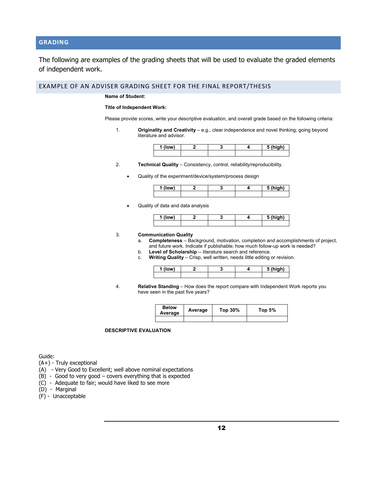## **GRADING**

The following are examples of the grading sheets that will be used to evaluate the graded elements of independent work.

EXAMPLE OF AN ADVISER GRADING SHEET FOR THE FINAL REPORT/THESIS

**Name of Student:** 

#### **Title of Independent Work:**

Please provide scores, write your descriptive evaluation, and overall grade based on the following criteria:

1. **Originality and Creativity** – e.g., clear independence and novel thinking; going beyond literature and advisor.

| (low) |  | $5$ (high) |
|-------|--|------------|
|       |  |            |

- 2. **Technical Quality** Consistency, control, reliability/reproducibility.
	- Quality of the experiment/device/system/process design

| "<br>.ow' |  | <b>S</b> (high)<br>- - |
|-----------|--|------------------------|
|           |  |                        |

• Quality of data and data analysis

| . .<br>п |  | ا ما ب<br>. |
|----------|--|-------------|
|          |  |             |

#### 3. **Communication Quality**

- a. **Completeness** Background, motivation, completion and accomplishments of project, and future work. Indicate if publishable; how much follow-up work is needed?
- b. **Level of Scholarship** -- literature search and reference.
- c. **Writing Quality** Crisp, well written, needs little editing or revision.

| (low) |  | (hinh)<br> |
|-------|--|------------|
|       |  |            |

4. **Relative Standing** – How does the report compare with Independent Work reports you have seen in the past five years?

| <b>Below</b><br>Average | Average | Top 30% | Top $5\%$ |
|-------------------------|---------|---------|-----------|
|                         |         |         |           |

#### **DESCRIPTIVE EVALUATION**

Guide:

- (A+) Truly exceptional
- (A) Very Good to Excellent; well above nominal expectations
- (B) Good to very good covers everything that is expected
- (C) Adequate to fair; would have liked to see more
- (D) Marginal
- (F) Unacceptable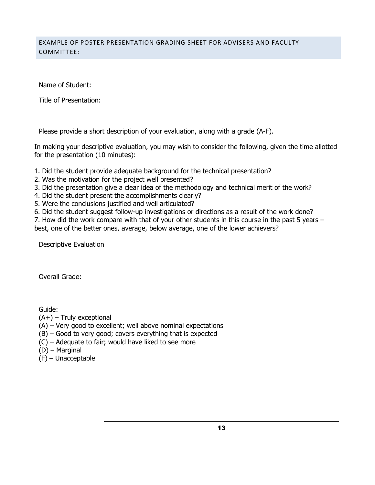## EXAMPLE OF POSTER PRESENTATION GRADING SHEET FOR ADVISERS AND FACULTY COMMITTEE:

Name of Student:

Title of Presentation:

Please provide a short description of your evaluation, along with a grade (A-F).

In making your descriptive evaluation, you may wish to consider the following, given the time allotted for the presentation (10 minutes):

- 1. Did the student provide adequate background for the technical presentation?
- 2. Was the motivation for the project well presented?
- 3. Did the presentation give a clear idea of the methodology and technical merit of the work?
- 4. Did the student present the accomplishments clearly?
- 5. Were the conclusions justified and well articulated?
- 6. Did the student suggest follow-up investigations or directions as a result of the work done?

7. How did the work compare with that of your other students in this course in the past 5 years – best, one of the better ones, average, below average, one of the lower achievers?

Descriptive Evaluation

Overall Grade:

Guide:

- $(A+)$  Truly exceptional
- (A) Very good to excellent; well above nominal expectations
- (B) Good to very good; covers everything that is expected
- (C) Adequate to fair; would have liked to see more
- (D) Marginal
- (F) Unacceptable